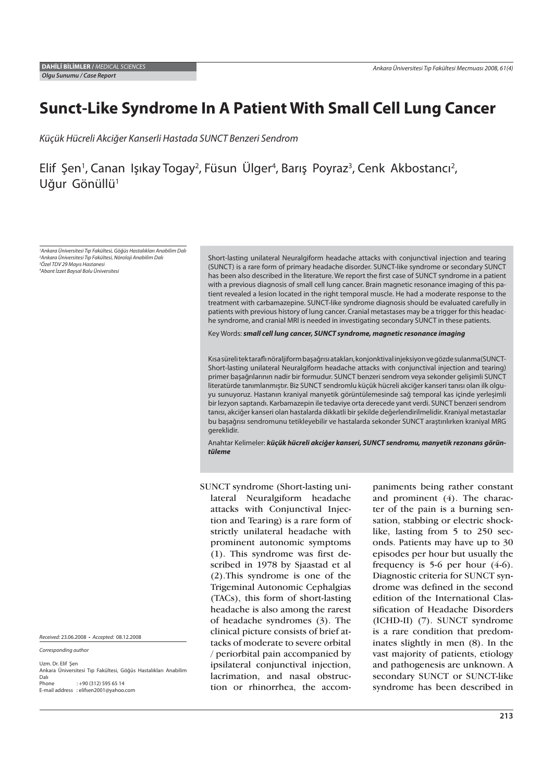# **Sunct-Like Syndrome In A Patient With Small Cell Lung Cancer**

Küçük Hücreli Akciğer Kanserli Hastada SUNCT Benzeri Sendrom

## Elif Şen<sup>1</sup>, Canan Işıkay Togay<sup>2</sup>, Füsun Ülger<sup>4</sup>, Barış Poyraz<sup>3</sup>, Cenk Akbostancı<sup>2</sup>, Uğur Gönüllü<sup>1</sup>

 Ankara Üniversitesi Tıp Fakültesi, Göğüs Hastalıkları Anabilim Dalı Ankara Üniversitesi Tıp Fakültesi, Nöroloji Anabilim Dalı Özel TDV 29 Mayıs Hastanesi Abant İzzet Baysal Bolu Üniversitesi

Short-lasting unilateral Neuralgiform headache attacks with conjunctival injection and tearing (SUNCT) is a rare form of primary headache disorder. SUNCT-like syndrome or secondary SUNCT has been also described in the literature. We report the first case of SUNCT syndrome in a patient with a previous diagnosis of small cell lung cancer. Brain magnetic resonance imaging of this patient revealed a lesion located in the right temporal muscle. He had a moderate response to the treatment with carbamazepine. SUNCT-like syndrome diagnosis should be evaluated carefully in patients with previous history of lung cancer. Cranial metastases may be a trigger for this headache syndrome, and cranial MRI is needed in investigating secondary SUNCT in these patients.

Key Words: *small cell lung cancer, SUNCT syndrome, magnetic resonance imaging*

Kısa süreli tek tarafl ı nöraljiform başağrısı atakları, konjonktival injeksiyon ve gözde sulanma(SUNCT-Short-lasting unilateral Neuralgiform headache attacks with conjunctival injection and tearing) primer başağrılarının nadir bir formudur. SUNCT benzeri sendrom veya sekonder gelişimli SUNCT literatürde tanımlanmıştır. Biz SUNCT sendromlu küçük hücreli akciğer kanseri tanısı olan ilk olguyu sunuyoruz. Hastanın kraniyal manyetik görüntülemesinde sağ temporal kas içinde yerleşimli bir lezyon saptandı. Karbamazepin ile tedaviye orta derecede yanıt verdi. SUNCT benzeri sendrom tanısı, akciğer kanseri olan hastalarda dikkatli bir şekilde değerlendirilmelidir. Kraniyal metastazlar bu başağrısı sendromunu tetikleyebilir ve hastalarda sekonder SUNCT araştırılırken kraniyal MRG gereklidir.

Anahtar Kelimeler: *küçük hücreli akciğer kanseri, SUNCT sendromu, manyetik rezonans görüntüleme*

SUNCT syndrome (Short-lasting unilateral Neuralgiform headache attacks with Conjunctival Injection and Tearing) is a rare form of strictly unilateral headache with prominent autonomic symptoms (1). This syndrome was first described in 1978 by Sjaastad et al (2).This syndrome is one of the Trigeminal Autonomic Cephalgias (TACs), this form of short-lasting headache is also among the rarest of headache syndromes (3). The clinical picture consists of brief attacks of moderate to severe orbital / periorbital pain accompanied by ipsilateral conjunctival injection, lacrimation, and nasal obstruction or rhinorrhea, the accompaniments being rather constant and prominent (4). The character of the pain is a burning sensation, stabbing or electric shocklike, lasting from 5 to 250 seconds. Patients may have up to 30 episodes per hour but usually the frequency is  $5-6$  per hour  $(4-6)$ . Diagnostic criteria for SUNCT syndrome was defined in the second edition of the International Classification of Headache Disorders (ICHD-II) (7). SUNCT syndrome is a rare condition that predominates slightly in men (8). In the vast majority of patients, etiology and pathogenesis are unknown. A secondary SUNCT or SUNCT-like syndrome has been described in

Received: 23.06.2008 • Accepted: 08.12.2008

Corresponding author

Uzm. Dr. Elif Şen Ankara Üniversitesi Tıp Fakültesi, Göğüs Hastalıkları Anabilim Dalı Phone : +90 (312) 595 65 14 E-mail address : elifsen2001@yahoo.com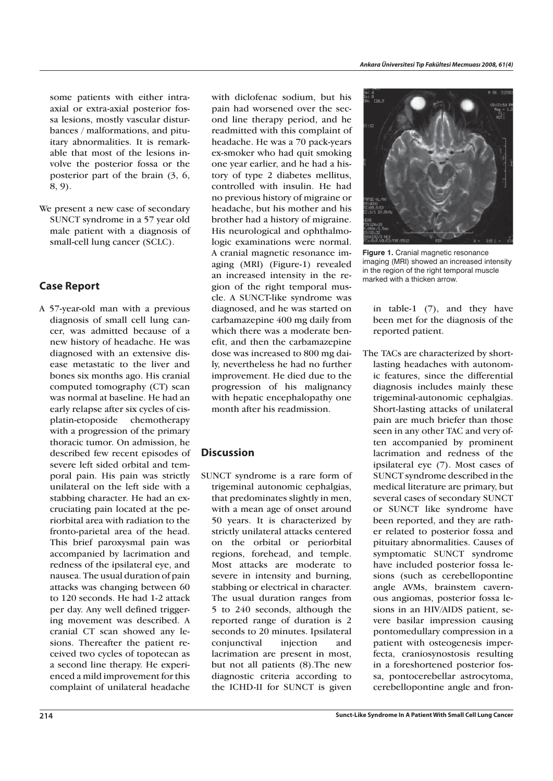some patients with either intraaxial or extra-axial posterior fossa lesions, mostly vascular disturbances / malformations, and pituitary abnormalities. It is remarkable that most of the lesions involve the posterior fossa or the posterior part of the brain (3, 6, 8, 9).

We present a new case of secondary SUNCT syndrome in a 57 year old male patient with a diagnosis of small-cell lung cancer (SCLC).

### **Case Report**

A 57-year-old man with a previous diagnosis of small cell lung cancer, was admitted because of a new history of headache. He was diagnosed with an extensive disease metastatic to the liver and bones six months ago. His cranial computed tomography (CT) scan was normal at baseline. He had an early relapse after six cycles of cisplatin-etoposide chemotherapy with a progression of the primary thoracic tumor. On admission, he described few recent episodes of severe left sided orbital and temporal pain. His pain was strictly unilateral on the left side with a stabbing character. He had an excruciating pain located at the periorbital area with radiation to the fronto-parietal area of the head. This brief paroxysmal pain was accompanied by lacrimation and redness of the ipsilateral eye, and nausea. The usual duration of pain attacks was changing between 60 to 120 seconds. He had 1-2 attack per day. Any well defined triggering movement was described. A cranial CT scan showed any lesions. Thereafter the patient received two cycles of topotecan as a second line therapy. He experienced a mild improvement for this complaint of unilateral headache

with diclofenac sodium, but his pain had worsened over the second line therapy period, and he readmitted with this complaint of headache. He was a 70 pack-years ex-smoker who had quit smoking one year earlier, and he had a history of type 2 diabetes mellitus, controlled with insulin. He had no previous history of migraine or headache, but his mother and his brother had a history of migraine. His neurological and ophthalmologic examinations were normal. A cranial magnetic resonance imaging (MRI) (Figure-1) revealed an increased intensity in the region of the right temporal muscle. A SUNCT-like syndrome was diagnosed, and he was started on carbamazepine 400 mg daily from which there was a moderate benefit, and then the carbamazepine dose was increased to 800 mg daily, nevertheless he had no further improvement. He died due to the progression of his malignancy with hepatic encephalopathy one month after his readmission.

### **Discussion**

SUNCT syndrome is a rare form of trigeminal autonomic cephalgias, that predominates slightly in men, with a mean age of onset around 50 years. It is characterized by strictly unilateral attacks centered on the orbital or periorbital regions, forehead, and temple. Most attacks are moderate to severe in intensity and burning, stabbing or electrical in character. The usual duration ranges from 5 to 240 seconds, although the reported range of duration is 2 seconds to 20 minutes. Ipsilateral conjunctival injection and lacrimation are present in most, but not all patients (8).The new diagnostic criteria according to the ICHD-II for SUNCT is given



**Figure 1.** Cranial magnetic resonance imaging (MRI) showed an increased intensity in the region of the right temporal muscle marked with a thicken arrow.

in table-1 (7), and they have been met for the diagnosis of the reported patient.

The TACs are characterized by shortlasting headaches with autonomic features, since the differential diagnosis includes mainly these trigeminal-autonomic cephalgias. Short-lasting attacks of unilateral pain are much briefer than those seen in any other TAC and very often accompanied by prominent lacrimation and redness of the ipsilateral eye (7). Most cases of SUNCT syndrome described in the medical literature are primary, but several cases of secondary SUNCT or SUNCT like syndrome have been reported, and they are rather related to posterior fossa and pituitary abnormalities. Causes of symptomatic SUNCT syndrome have included posterior fossa lesions (such as cerebellopontine angle AVMs, brainstem cavernous angiomas, posterior fossa lesions in an HIV/AIDS patient, severe basilar impression causing pontomedullary compression in a patient with osteogenesis imperfecta, craniosynostosis resulting in a foreshortened posterior fossa, pontocerebellar astrocytoma, cerebellopontine angle and fron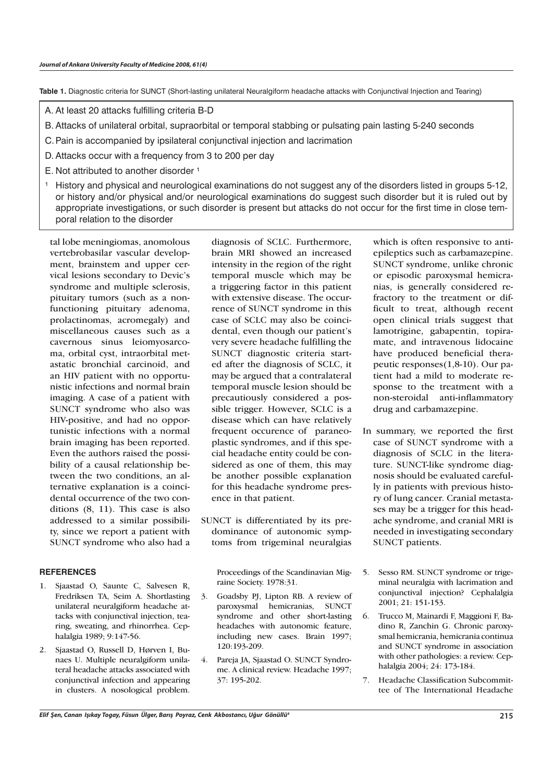**Table 1.** Diagnostic criteria for SUNCT (Short-lasting unilateral Neuralgiform headache attacks with Conjunctival Injection and Tearing)

- A. At least 20 attacks fulfilling criteria B-D
- B. Attacks of unilateral orbital, supraorbital or temporal stabbing or pulsating pain lasting 5-240 seconds
- C. Pain is accompanied by ipsilateral conjunctival injection and lacrimation
- D. Attacks occur with a frequency from 3 to 200 per day
- E. Not attributed to another disorder  $1$
- <sup>1</sup> History and physical and neurological examinations do not suggest any of the disorders listed in groups 5-12, or history and/or physical and/or neurological examinations do suggest such disorder but it is ruled out by appropriate investigations, or such disorder is present but attacks do not occur for the first time in close temporal relation to the disorder

tal lobe meningiomas, anomolous vertebrobasilar vascular development, brainstem and upper cervical lesions secondary to Devic's syndrome and multiple sclerosis, pituitary tumors (such as a nonfunctioning pituitary adenoma, prolactinomas, acromegaly) and miscellaneous causes such as a cavernous sinus leiomyosarcoma, orbital cyst, intraorbital metastatic bronchial carcinoid, and an HIV patient with no opportunistic infections and normal brain imaging. A case of a patient with SUNCT syndrome who also was HIV-positive, and had no opportunistic infections with a normal brain imaging has been reported. Even the authors raised the possibility of a causal relationship between the two conditions, an alternative explanation is a coincidental occurrence of the two conditions (8, 11). This case is also addressed to a similar possibility, since we report a patient with SUNCT syndrome who also had a

#### **REFERENCES**

- 1. Sjaastad O, Saunte C, Salvesen R, Fredriksen TA, Seim A. Shortlasting unilateral neuralgiform headache attacks with conjunctival injection, tearing, sweating, and rhinorrhea. Cephalalgia 1989; 9:147-56.
- 2. Sjaastad O, Russell D, Hørven I, Bunaes U. Multiple neuralgiform unilateral headache attacks associated with conjunctival infection and appearing in clusters. A nosological problem.

diagnosis of SCLC. Furthermore, brain MRI showed an increased intensity in the region of the right temporal muscle which may be a triggering factor in this patient with extensive disease. The occurrence of SUNCT syndrome in this case of SCLC may also be coincidental, even though our patient's very severe headache fulfilling the SUNCT diagnostic criteria started after the diagnosis of SCLC, it may be argued that a contralateral temporal muscle lesion should be precautiously considered a possible trigger. However, SCLC is a disease which can have relatively frequent occurence of paraneoplastic syndromes, and if this special headache entity could be considered as one of them, this may be another possible explanation for this headache syndrome presence in that patient.

SUNCT is differentiated by its predominance of autonomic symptoms from trigeminal neuralgias

Proceedings of the Scandinavian Migraine Society. 1978:31.

- 3. Goadsby PJ, Lipton RB. A review of paroxysmal hemicranias, SUNCT syndrome and other short-lasting headaches with autonomic feature, including new cases. Brain 1997; 120:193-209.
- 4. Pareja JA, Sjaastad O. SUNCT Syndrome. A clinical review. Headache 1997; 37: 195-202.

which is often responsive to antiepileptics such as carbamazepine. SUNCT syndrome, unlike chronic or episodic paroxysmal hemicranias, is generally considered refractory to the treatment or difficult to treat, although recent open clinical trials suggest that lamotrigine, gabapentin, topiramate, and intravenous lidocaine have produced beneficial therapeutic responses(1,8-10). Our patient had a mild to moderate response to the treatment with a non-steroidal anti-inflammatory drug and carbamazepine.

- In summary, we reported the first case of SUNCT syndrome with a diagnosis of SCLC in the literature. SUNCT-like syndrome diagnosis should be evaluated carefully in patients with previous history of lung cancer. Cranial metastases may be a trigger for this headache syndrome, and cranial MRI is needed in investigating secondary SUNCT patients.
- 5. Sesso RM. SUNCT syndrome or trigeminal neuralgia with lacrimation and conjunctival injection? Cephalalgia 2001; 21: 151-153.
- 6. Trucco M, Mainardi F, Maggioni F, Badino R, Zanchin G. Chronic paroxysmal hemicrania, hemicrania continua and SUNCT syndrome in association with other pathologies: a review. Cephalalgia 2004; 24: 173-184.
- 7. Headache Classification Subcommittee of The International Headache